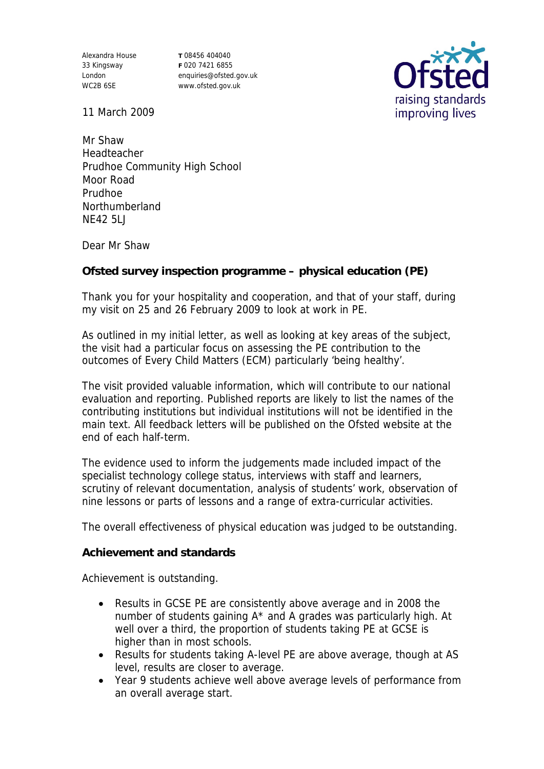Alexandra House 33 Kingsway London WC2B 6SE

**T** 08456 404040 **F** 020 7421 6855 enquiries@ofsted.gov.uk www.ofsted.gov.uk



11 March 2009

Mr Shaw Headteacher Prudhoe Community High School Moor Road Prudhoe Northumberland NE42 5LJ

Dear Mr Shaw

**Ofsted survey inspection programme – physical education (PE)**

Thank you for your hospitality and cooperation, and that of your staff, during my visit on 25 and 26 February 2009 to look at work in PE.

As outlined in my initial letter, as well as looking at key areas of the subject, the visit had a particular focus on assessing the PE contribution to the outcomes of Every Child Matters (ECM) particularly 'being healthy'.

The visit provided valuable information, which will contribute to our national evaluation and reporting. Published reports are likely to list the names of the contributing institutions but individual institutions will not be identified in the main text. All feedback letters will be published on the Ofsted website at the end of each half-term.

The evidence used to inform the judgements made included impact of the specialist technology college status, interviews with staff and learners, scrutiny of relevant documentation, analysis of students' work, observation of nine lessons or parts of lessons and a range of extra-curricular activities.

The overall effectiveness of physical education was judged to be outstanding.

**Achievement and standards** 

Achievement is outstanding.

- Results in GCSE PE are consistently above average and in 2008 the number of students gaining A\* and A grades was particularly high. At well over a third, the proportion of students taking PE at GCSE is higher than in most schools.
- Results for students taking A-level PE are above average, though at AS level, results are closer to average.
- Year 9 students achieve well above average levels of performance from an overall average start.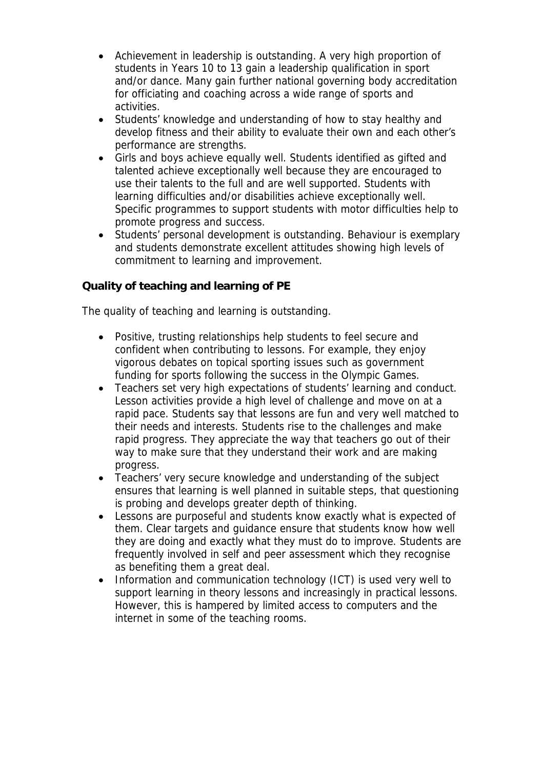- Achievement in leadership is outstanding. A very high proportion of students in Years 10 to 13 gain a leadership qualification in sport and/or dance. Many gain further national governing body accreditation for officiating and coaching across a wide range of sports and activities.
- Students' knowledge and understanding of how to stay healthy and develop fitness and their ability to evaluate their own and each other's performance are strengths.
- Girls and boys achieve equally well. Students identified as gifted and talented achieve exceptionally well because they are encouraged to use their talents to the full and are well supported. Students with learning difficulties and/or disabilities achieve exceptionally well. Specific programmes to support students with motor difficulties help to promote progress and success.
- Students' personal development is outstanding. Behaviour is exemplary and students demonstrate excellent attitudes showing high levels of commitment to learning and improvement.

## **Quality of teaching and learning of PE**

The quality of teaching and learning is outstanding.

- Positive, trusting relationships help students to feel secure and confident when contributing to lessons. For example, they enjoy vigorous debates on topical sporting issues such as government funding for sports following the success in the Olympic Games.
- Teachers set very high expectations of students' learning and conduct. Lesson activities provide a high level of challenge and move on at a rapid pace. Students say that lessons are fun and very well matched to their needs and interests. Students rise to the challenges and make rapid progress. They appreciate the way that teachers go out of their way to make sure that they understand their work and are making progress.
- Teachers' very secure knowledge and understanding of the subject ensures that learning is well planned in suitable steps, that questioning is probing and develops greater depth of thinking.
- Lessons are purposeful and students know exactly what is expected of them. Clear targets and guidance ensure that students know how well they are doing and exactly what they must do to improve. Students are frequently involved in self and peer assessment which they recognise as benefiting them a great deal.
- Information and communication technology (ICT) is used very well to support learning in theory lessons and increasingly in practical lessons. However, this is hampered by limited access to computers and the internet in some of the teaching rooms.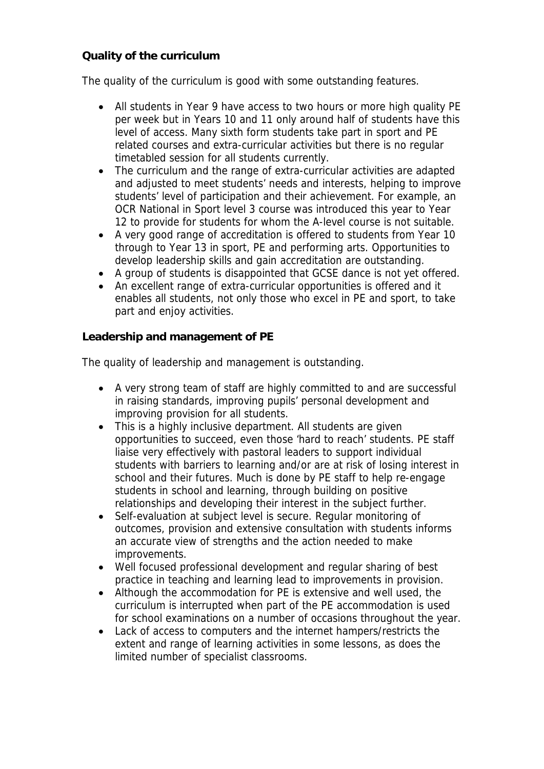## **Quality of the curriculum**

The quality of the curriculum is good with some outstanding features.

- All students in Year 9 have access to two hours or more high quality PE per week but in Years 10 and 11 only around half of students have this level of access. Many sixth form students take part in sport and PE related courses and extra-curricular activities but there is no regular timetabled session for all students currently.
- The curriculum and the range of extra-curricular activities are adapted and adjusted to meet students' needs and interests, helping to improve students' level of participation and their achievement. For example, an OCR National in Sport level 3 course was introduced this year to Year 12 to provide for students for whom the A-level course is not suitable.
- A very good range of accreditation is offered to students from Year 10 through to Year 13 in sport, PE and performing arts. Opportunities to develop leadership skills and gain accreditation are outstanding.
- A group of students is disappointed that GCSE dance is not yet offered.
- An excellent range of extra-curricular opportunities is offered and it enables all students, not only those who excel in PE and sport, to take part and enjoy activities.

**Leadership and management of PE**

The quality of leadership and management is outstanding.

- A very strong team of staff are highly committed to and are successful in raising standards, improving pupils' personal development and improving provision for all students.
- This is a highly inclusive department. All students are given opportunities to succeed, even those 'hard to reach' students. PE staff liaise very effectively with pastoral leaders to support individual students with barriers to learning and/or are at risk of losing interest in school and their futures. Much is done by PE staff to help re-engage students in school and learning, through building on positive relationships and developing their interest in the subject further.
- Self-evaluation at subject level is secure. Regular monitoring of outcomes, provision and extensive consultation with students informs an accurate view of strengths and the action needed to make improvements.
- Well focused professional development and regular sharing of best practice in teaching and learning lead to improvements in provision.
- Although the accommodation for PE is extensive and well used, the curriculum is interrupted when part of the PE accommodation is used for school examinations on a number of occasions throughout the year.
- Lack of access to computers and the internet hampers/restricts the extent and range of learning activities in some lessons, as does the limited number of specialist classrooms.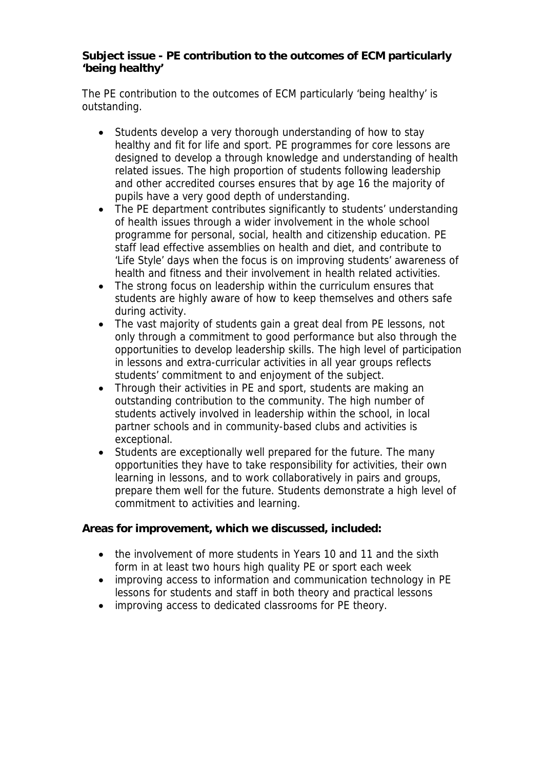**Subject issue - PE contribution to the outcomes of ECM particularly 'being healthy'**

The PE contribution to the outcomes of ECM particularly 'being healthy' is outstanding.

- Students develop a very thorough understanding of how to stav healthy and fit for life and sport. PE programmes for core lessons are designed to develop a through knowledge and understanding of health related issues. The high proportion of students following leadership and other accredited courses ensures that by age 16 the majority of pupils have a very good depth of understanding.
- The PE department contributes significantly to students' understanding of health issues through a wider involvement in the whole school programme for personal, social, health and citizenship education. PE staff lead effective assemblies on health and diet, and contribute to 'Life Style' days when the focus is on improving students' awareness of health and fitness and their involvement in health related activities.
- The strong focus on leadership within the curriculum ensures that students are highly aware of how to keep themselves and others safe during activity.
- The vast majority of students gain a great deal from PE lessons, not only through a commitment to good performance but also through the opportunities to develop leadership skills. The high level of participation in lessons and extra-curricular activities in all year groups reflects students' commitment to and enjoyment of the subject.
- Through their activities in PE and sport, students are making an outstanding contribution to the community. The high number of students actively involved in leadership within the school, in local partner schools and in community-based clubs and activities is exceptional.
- Students are exceptionally well prepared for the future. The many opportunities they have to take responsibility for activities, their own learning in lessons, and to work collaboratively in pairs and groups, prepare them well for the future. Students demonstrate a high level of commitment to activities and learning.

**Areas for improvement, which we discussed, included:**

- the involvement of more students in Years 10 and 11 and the sixth form in at least two hours high quality PE or sport each week
- improving access to information and communication technology in PE lessons for students and staff in both theory and practical lessons
- improving access to dedicated classrooms for PE theory.